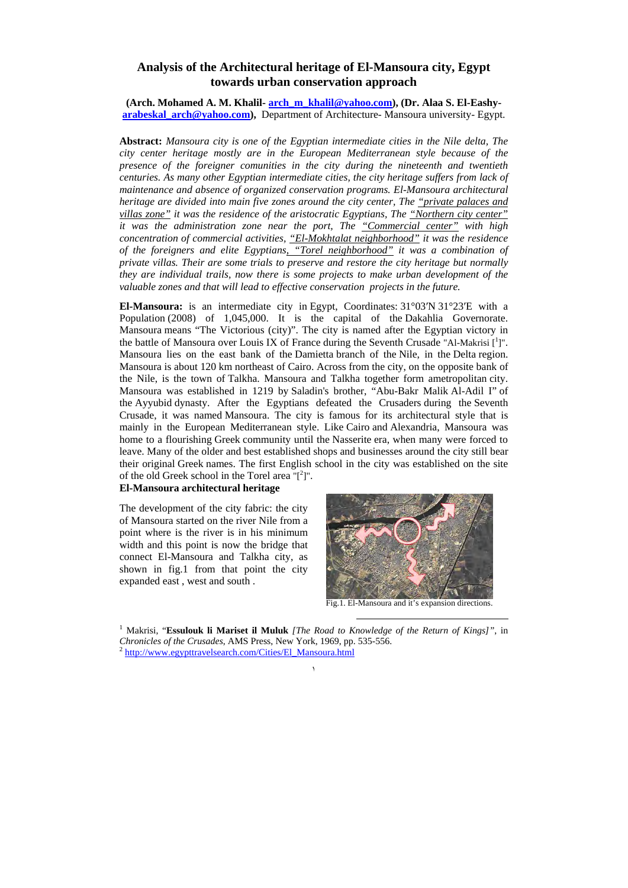# **Analysis of the Architectural heritage of El-Mansoura city, Egypt towards urban conservation approach**

**(Arch. Mohamed A. M. Khalil- arch\_m\_khalil@yahoo.com), (Dr. Alaa S. El-Eashyarabeskal\_arch@yahoo.com),** Department of Architecture- Mansoura university- Egypt.

**Abstract:** *Mansoura city is one of the Egyptian intermediate cities in the Nile delta, The city center heritage mostly are in the European Mediterranean style because of the presence of the foreigner comunities in the city during the nineteenth and twentieth centuries. As many other Egyptian intermediate cities, the city heritage suffers from lack of maintenance and absence of organized conservation programs. El-Mansoura architectural heritage are divided into main five zones around the city center, The "private palaces and villas zone" it was the residence of the aristocratic Egyptians, The "Northern city center" it was the administration zone near the port, The "Commercial center" with high concentration of commercial activities, "El-Mokhtalat neighborhood" it was the residence of the foreigners and elite Egyptians, "Torel neighborhood" it was a combination of private villas. Their are some trials to preserve and restore the city heritage but normally they are individual trails, now there is some projects to make urban development of the valuable zones and that will lead to effective conservation projects in the future.*

**El-Mansoura:** is an intermediate city in Egypt, Coordinates: 31°03′N 31°23′E with a Population (2008) of 1,045,000. It is the capital of the Dakahlia Governorate. Mansoura means "The Victorious (city)". The city is named after the Egyptian victory in the battle of Mansoura over Louis IX of France during the Seventh Crusade "Al-Makrisi [<sup>1</sup>]". Mansoura lies on the east bank of the Damietta branch of the Nile, in the Delta region. Mansoura is about 120 km northeast of Cairo. Across from the city, on the opposite bank of the Nile, is the town of Talkha. Mansoura and Talkha together form ametropolitan city. Mansoura was established in 1219 by Saladin's brother, "Abu-Bakr Malik Al-Adil I" of the Ayyubid dynasty. After the Egyptians defeated the Crusaders during the Seventh Crusade, it was named Mansoura. The city is famous for its architectural style that is mainly in the European Mediterranean style. Like Cairo and Alexandria, Mansoura was home to a flourishing Greek community until the Nasserite era, when many were forced to leave. Many of the older and best established shops and businesses around the city still bear their original Greek names. The first English school in the city was established on the site of the old Greek school in the Torel area  $T^2$ ]".

# **El-Mansoura architectural heritage**

The development of the city fabric: the city of Mansoura started on the river Nile from a point where is the river is in his minimum width and this point is now the bridge that connect El-Mansoura and Talkha city, as shown in fig.1 from that point the city expanded east , west and south .



Fig.1. El-Mansoura and it's expansion directions.

 1 Makrisi, "**Essulouk li Mariset il Muluk** *[The Road to Knowledge of the Return of Kings]"*, in *Chronicles of the Crusades*, AMS Press, New York, 1969, pp. 535-556.<br><sup>2</sup> http://www.egypttravelsearch.com/Cities/El\_Mansoura.html

١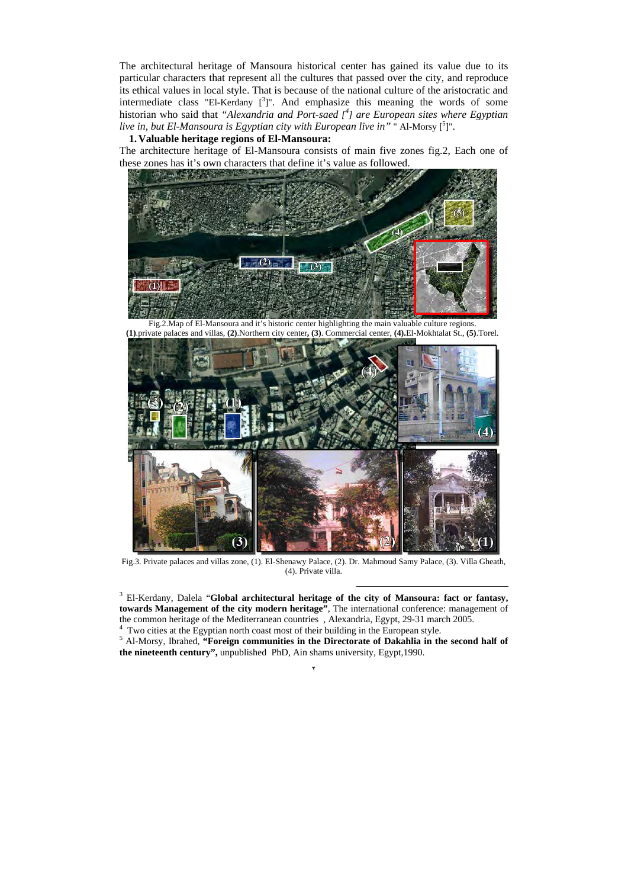The architectural heritage of Mansoura historical center has gained its value due to its particular characters that represent all the cultures that passed over the city, and reproduce its ethical values in local style. That is because of the national culture of the aristocratic and intermediate class "El-Kerdany  $\left[\begin{array}{cc}3\end{array}\right]$ ". And emphasize this meaning the words of some historian who said that *"Alexandria and Port-saed [ 4 ] are European sites where Egyptian*  live in, but El-Mansoura is Egyptian city with European live in" " Al-Morsy [<sup>5</sup>]".

### **1. Valuable heritage regions of El-Mansoura:**

The architecture heritage of El-Mansoura consists of main five zones fig.2, Each one of these zones has it's own characters that define it's value as followed.



Fig.2.Map of El-Mansoura and it's historic center highlighting the main valuable culture regions. **(1)**.private palaces and villas, **(2)**.Northern city center**, (3)**. Commercial center, **(4).**El-Mokhtalat St., **(5)**.Torel.



Fig.3. Private palaces and villas zone, (1). El-Shenawy Palace, (2). Dr. Mahmoud Samy Palace, (3). Villa Gheath, (4). Private villa.

<sup>3</sup> El-Kerdany, Dalela "**Global architectural heritage of the city of Mansoura: fact or fantasy, towards Management of the city modern heritage"**, The international conference: management of the common heritage of the Mediterranean countries , Alexandria, Egypt, 29-31 march 2005.

 $\frac{4}{1}$  Two cities at the Egyptian north coast most of their building in the European style.

<sup>5</sup> Al-Morsy, Ibrahed, "Foreign communities in the Directorate of Dakahlia in the second half of **the nineteenth century",** unpublished PhD, Ain shams university, Egypt,1990.

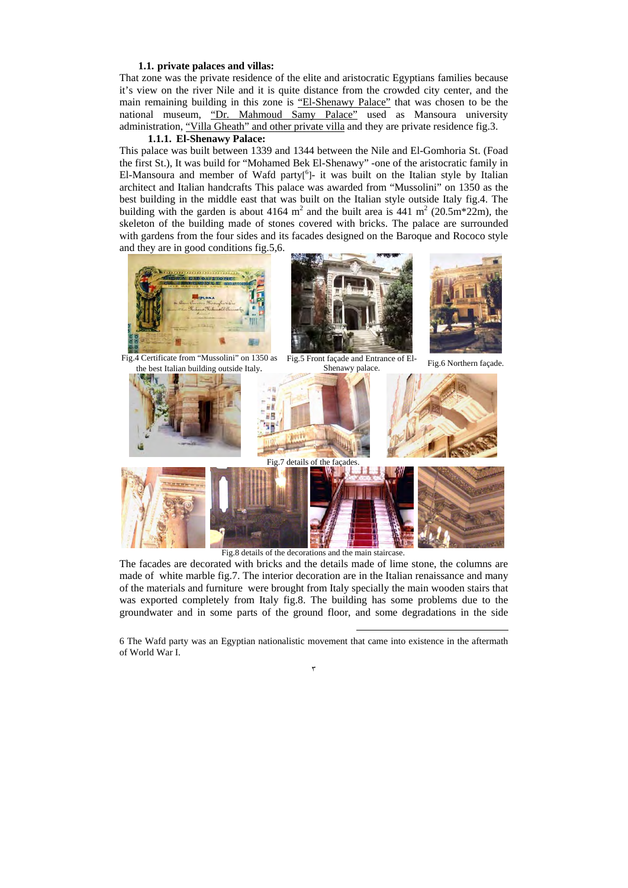#### **1.1. private palaces and villas:**

That zone was the private residence of the elite and aristocratic Egyptians families because it's view on the river Nile and it is quite distance from the crowded city center, and the main remaining building in this zone is "El-Shenawy Palace" that was chosen to be the national museum, "Dr. Mahmoud Samy Palace" used as Mansoura university administration, "Villa Gheath" and other private villa and they are private residence fig.3.

### **1.1.1. El-Shenawy Palace:**

This palace was built between 1339 and 1344 between the Nile and El-Gomhoria St. (Foad the first St.), It was build for "Mohamed Bek El-Shenawy" -one of the aristocratic family in El-Mansoura and member of Wafd party<sup>[6</sup>]- it was built on the Italian style by Italian architect and Italian handcrafts This palace was awarded from "Mussolini" on 1350 as the best building in the middle east that was built on the Italian style outside Italy fig.4. The building with the garden is about 4164  $m^2$  and the built area is 441  $m^2$  (20.5m\*22m), the skeleton of the building made of stones covered with bricks. The palace are surrounded with gardens from the four sides and its facades designed on the Baroque and Rococo style and they are in good conditions fig.5,6.



Fig.4 Certificate from "Mussolini" on 1350 as the best Italian building outside Italy.







Fig.5 Front façade and Entrance of El-It façade and Entrance of El-<br>Shenawy palace.<br>Shenawy palace.



Fig.8 details of the decorations and the main staircase.

The facades are decorated with bricks and the details made of lime stone, the columns are made of white marble fig.7. The interior decoration are in the Italian renaissance and many of the materials and furniture were brought from Italy specially the main wooden stairs that was exported completely from Italy fig.8. The building has some problems due to the groundwater and in some parts of the ground floor, and some degradations in the side

 6 The Wafd party was an Egyptian nationalistic movement that came into existence in the aftermath of World War I.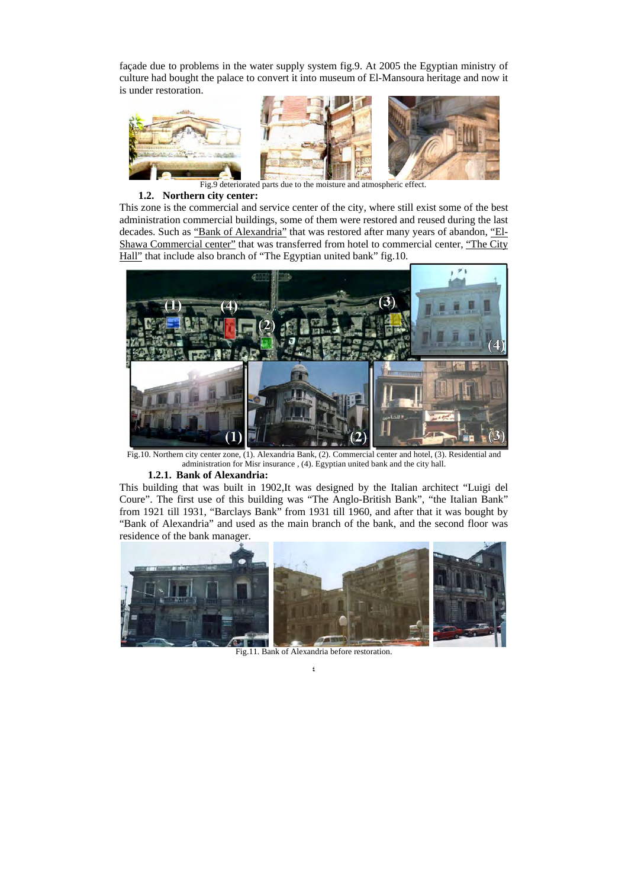façade due to problems in the water supply system fig.9. At 2005 the Egyptian ministry of culture had bought the palace to convert it into museum of El-Mansoura heritage and now it is under restoration.



Fig.9 deteriorated parts due to the moisture and atmospheric effect.

### **1.2. Northern city center:**

This zone is the commercial and service center of the city, where still exist some of the best administration commercial buildings, some of them were restored and reused during the last decades. Such as "Bank of Alexandria" that was restored after many years of abandon, "El-Shawa Commercial center" that was transferred from hotel to commercial center, "The City Hall" that include also branch of "The Egyptian united bank" fig.10.



Fig.10. Northern city center zone, (1). Alexandria Bank, (2). Commercial center and hotel, (3). Residential and administration for Misr insurance , (4). Egyptian united bank and the city hall.

#### **1.2.1. Bank of Alexandria:**

This building that was built in 1902,It was designed by the Italian architect "Luigi del Coure". The first use of this building was "The Anglo-British Bank", "the Italian Bank" from 1921 till 1931, "Barclays Bank" from 1931 till 1960, and after that it was bought by "Bank of Alexandria" and used as the main branch of the bank, and the second floor was residence of the bank manager.



٤ Fig.11. Bank of Alexandria before restoration.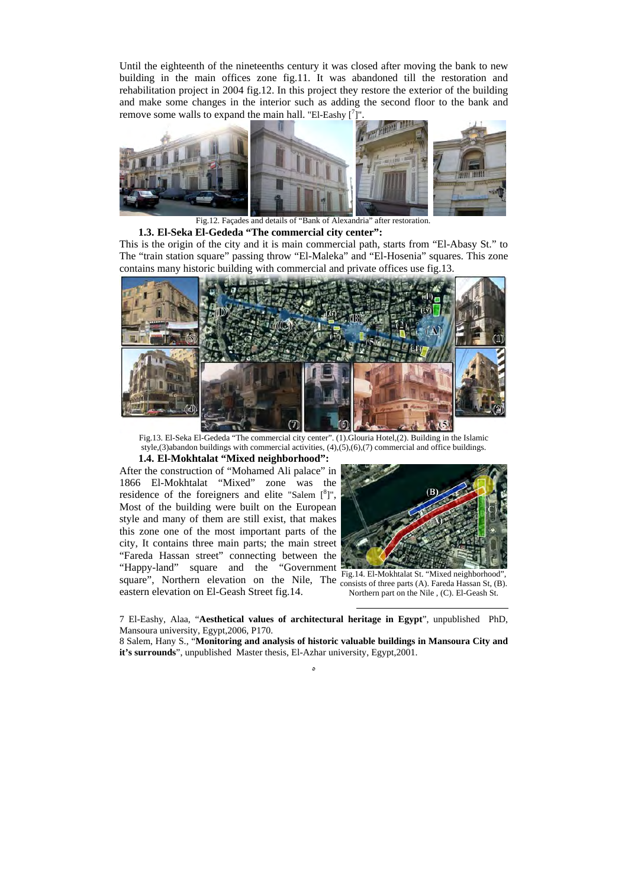Until the eighteenth of the nineteenths century it was closed after moving the bank to new building in the main offices zone fig.11. It was abandoned till the restoration and rehabilitation project in 2004 fig.12. In this project they restore the exterior of the building and make some changes in the interior such as adding the second floor to the bank and remove some walls to expand the main hall. "El-Eashy  $\left[\right]$ ".



Fig.12. Façades and details of "Bank of Alexandria" after restoration. **1.3. El-Seka El-Gededa "The commercial city center":** 

This is the origin of the city and it is main commercial path, starts from "El-Abasy St." to The "train station square" passing throw "El-Maleka" and "El-Hosenia" squares. This zone contains many historic building with commercial and private offices use fig.13.



Fig.13. El-Seka El-Gededa "The commercial city center". (1).Glouria Hotel,(2). Building in the Islamic style,(3)abandon buildings with commercial activities, (4),(5),(6),(7) commercial and office buildings.

#### **1.4. El-Mokhtalat "Mixed neighborhood":**

After the construction of "Mohamed Ali palace" in 1866 El-Mokhtalat "Mixed" zone was the residence of the foreigners and elite "Salem  $[{}^{8}]$ ", Most of the building were built on the European style and many of them are still exist, that makes this zone one of the most important parts of the city, It contains three main parts; the main street "Fareda Hassan street" connecting between the "Happy-land" square and the "Government square", Northern elevation on the Nile, The  $\frac{1}{2}$  Consists of three parts (A). Fareda Hassan St, (B). eastern elevation on El-Geash Street fig.14.



Fig.14. El-Mokhtalat St. "Mixed neighborhood", Northern part on the Nile , (C). El-Geash St.

 7 El-Eashy, Alaa, "**Aesthetical values of architectural heritage in Egypt**", unpublished PhD, Mansoura university, Egypt,2006, P170.

8 Salem, Hany S., "**Monitoring and analysis of historic valuable buildings in Mansoura City and it's surrounds**", unpublished Master thesis, El-Azhar university, Egypt,2001.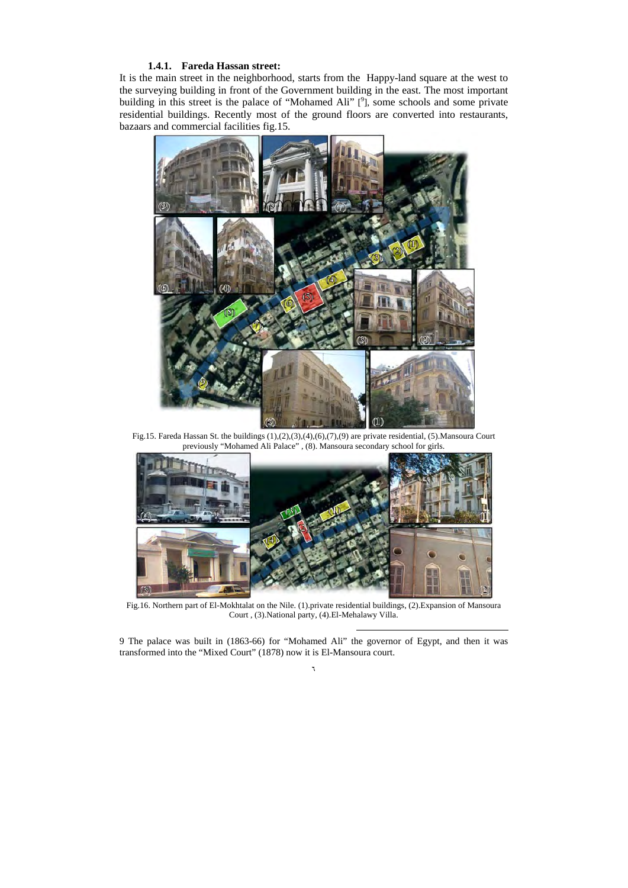# **1.4.1. Fareda Hassan street:**

It is the main street in the neighborhood, starts from the Happy-land square at the west to the surveying building in front of the Government building in the east. The most important building in this street is the palace of "Mohamed Ali"  $[$ <sup>9</sup>], some schools and some private residential buildings. Recently most of the ground floors are converted into restaurants, bazaars and commercial facilities fig.15.



Fig.15. Fareda Hassan St. the buildings (1),(2),(3),(4),(6),(7),(9) are private residential, (5).Mansoura Court previously "Mohamed Ali Palace" , (8). Mansoura secondary school for girls.



Fig.16. Northern part of El-Mokhtalat on the Nile. (1).private residential buildings, (2).Expansion of Mansoura Court , (3).National party, (4).El-Mehalawy Villa.

٦ 9 The palace was built in (1863-66) for "Mohamed Ali" the governor of Egypt, and then it was transformed into the "Mixed Court" (1878) now it is El-Mansoura court.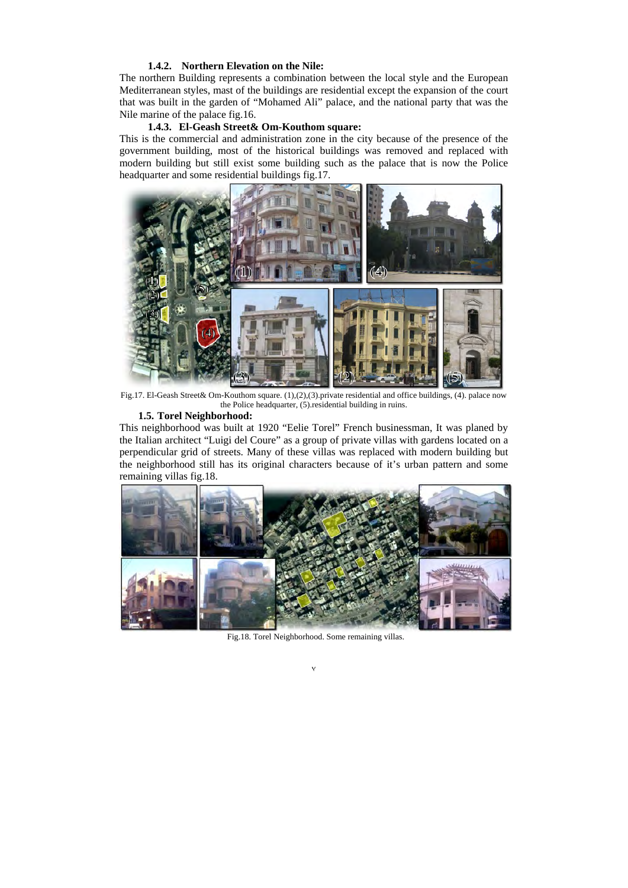# **1.4.2. Northern Elevation on the Nile:**

The northern Building represents a combination between the local style and the European Mediterranean styles, mast of the buildings are residential except the expansion of the court that was built in the garden of "Mohamed Ali" palace, and the national party that was the Nile marine of the palace fig.16.

### **1.4.3. El-Geash Street& Om-Kouthom square:**

This is the commercial and administration zone in the city because of the presence of the government building, most of the historical buildings was removed and replaced with modern building but still exist some building such as the palace that is now the Police headquarter and some residential buildings fig.17.



Fig.17. El-Geash Street& Om-Kouthom square. (1),(2),(3).private residential and office buildings, (4). palace now the Police headquarter, (5).residential building in ruins.

### **1.5. Torel Neighborhood:**

This neighborhood was built at 1920 "Eelie Torel" French businessman, It was planed by the Italian architect "Luigi del Coure" as a group of private villas with gardens located on a perpendicular grid of streets. Many of these villas was replaced with modern building but the neighborhood still has its original characters because of it's urban pattern and some remaining villas fig.18.



Fig.18. Torel Neighborhood. Some remaining villas.